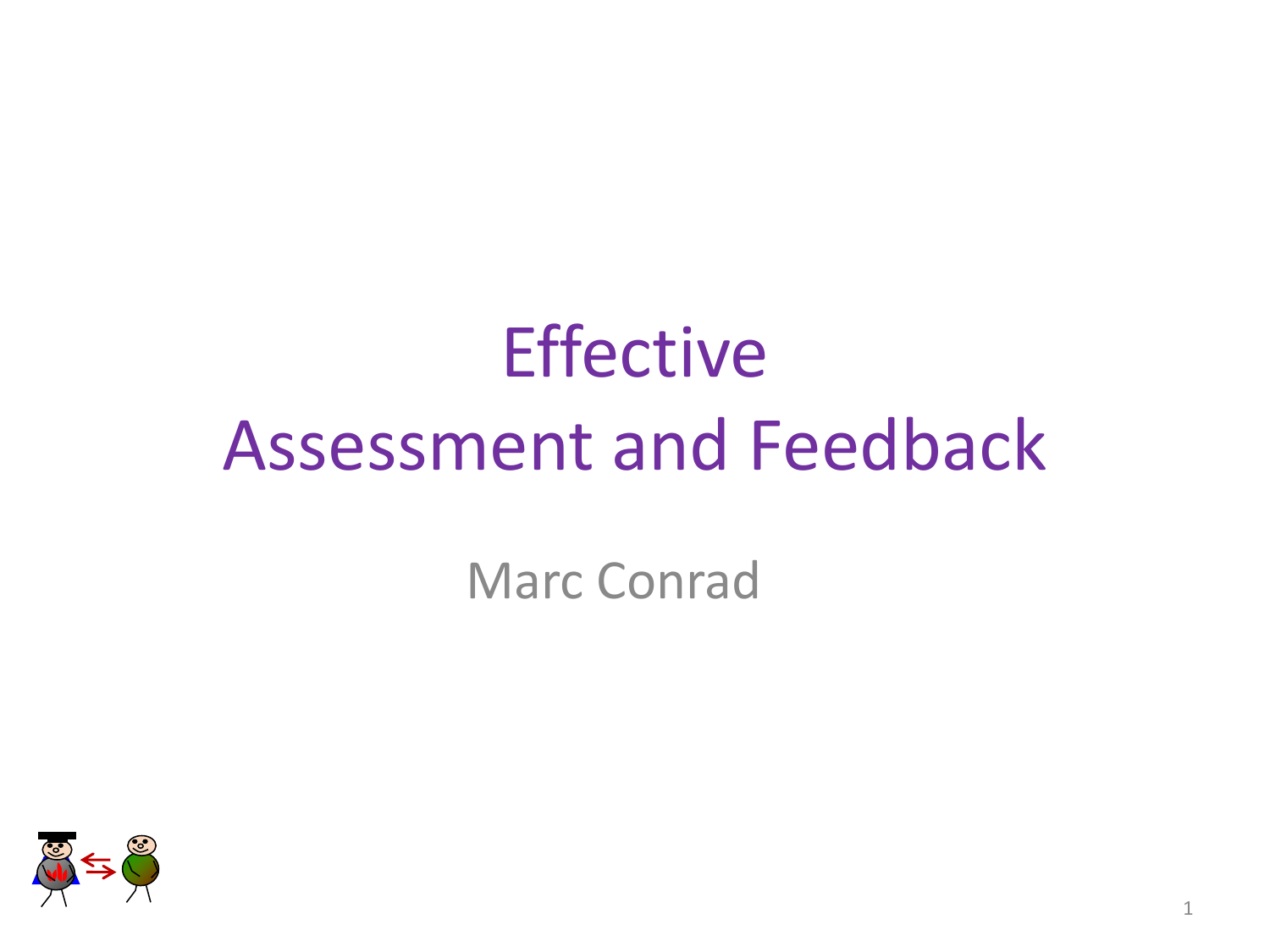# **Effective** Assessment and Feedback

Marc Conrad

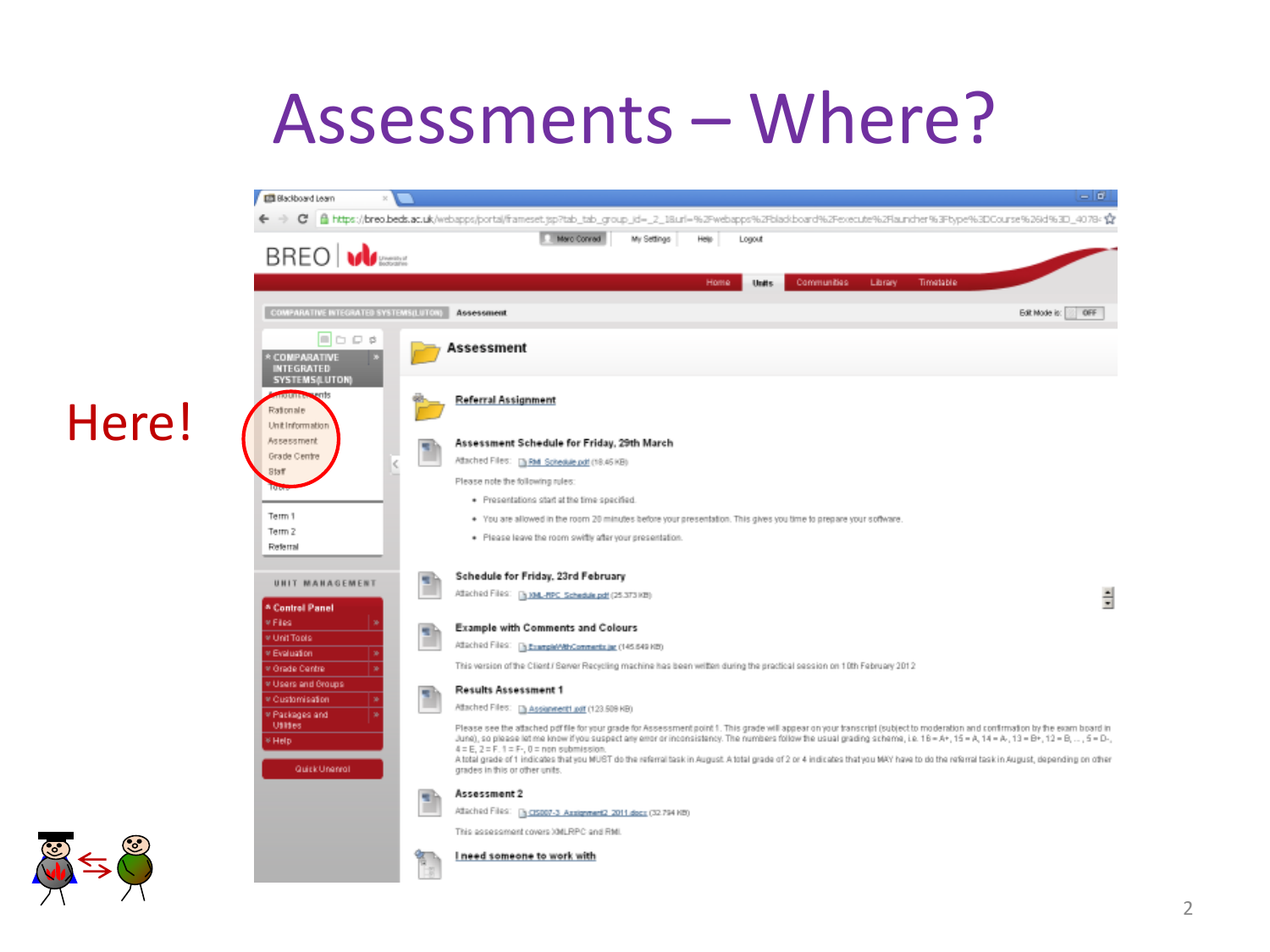#### Assessments – Where?



#### Here!

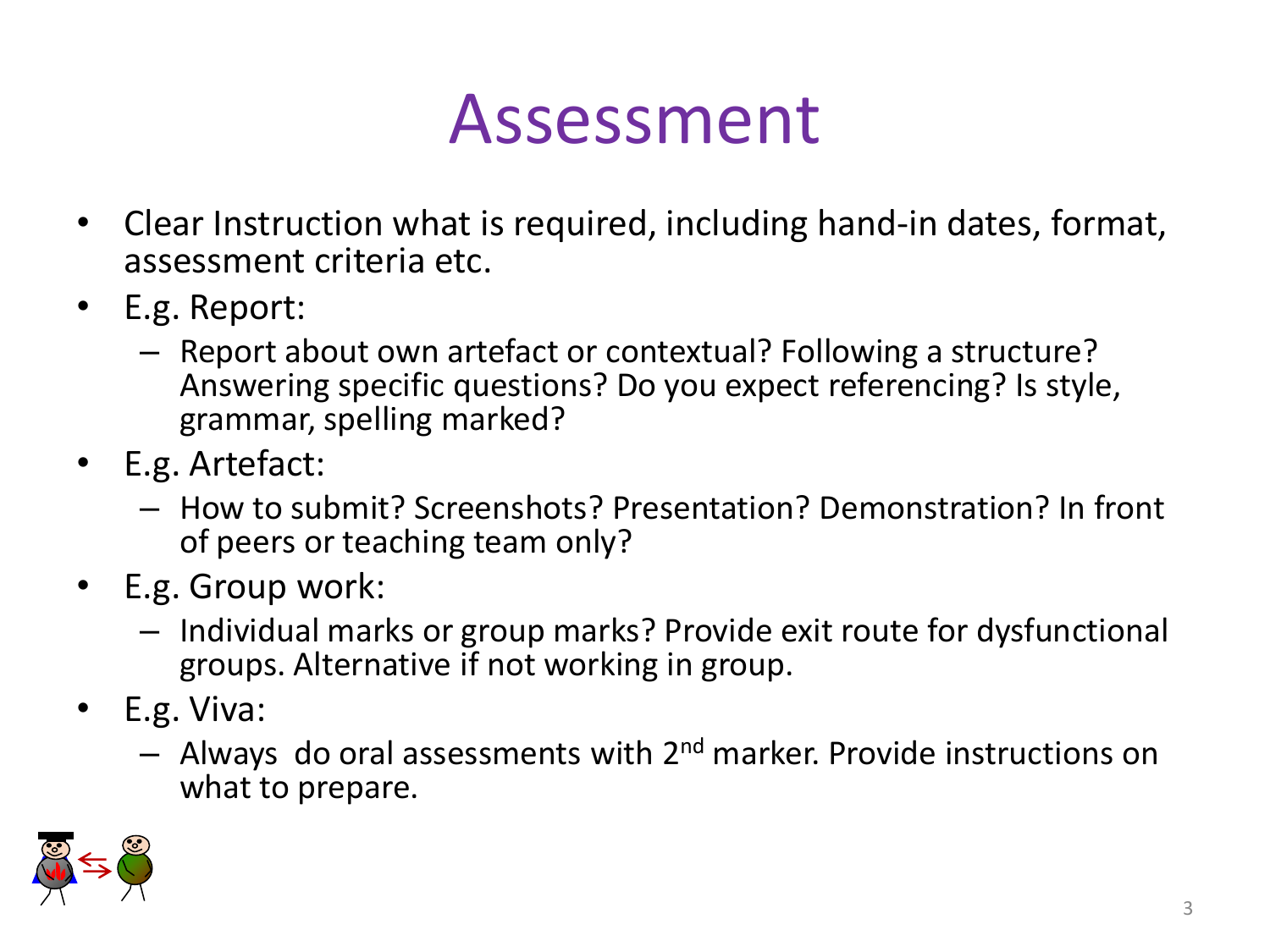#### Assessment

- Clear Instruction what is required, including hand-in dates, format, assessment criteria etc.
- E.g. Report:
	- Report about own artefact or contextual? Following a structure? Answering specific questions? Do you expect referencing? Is style, grammar, spelling marked?
- E.g. Artefact:
	- How to submit? Screenshots? Presentation? Demonstration? In front of peers or teaching team only?
- E.g. Group work:
	- Individual marks or group marks? Provide exit route for dysfunctional groups. Alternative if not working in group.
- E.g. Viva:
	- $-$  Always do oral assessments with  $2<sup>nd</sup>$  marker. Provide instructions on what to prepare.

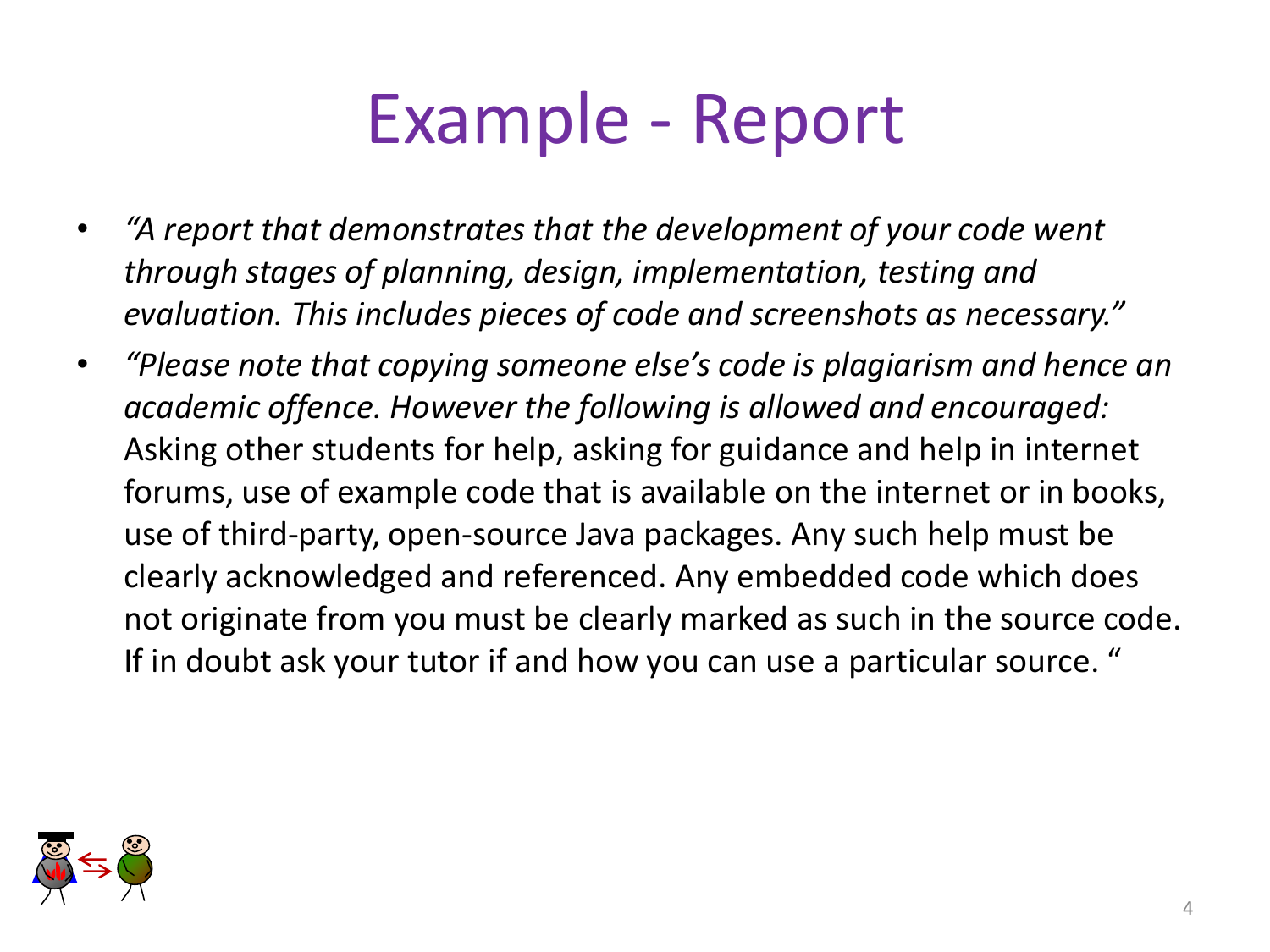#### Example - Report

- *"A report that demonstrates that the development of your code went through stages of planning, design, implementation, testing and evaluation. This includes pieces of code and screenshots as necessary."*
- *"Please note that copying someone else's code is plagiarism and hence an academic offence. However the following is allowed and encouraged:*  Asking other students for help, asking for guidance and help in internet forums, use of example code that is available on the internet or in books, use of third-party, open-source Java packages. Any such help must be clearly acknowledged and referenced. Any embedded code which does not originate from you must be clearly marked as such in the source code. If in doubt ask your tutor if and how you can use a particular source. "

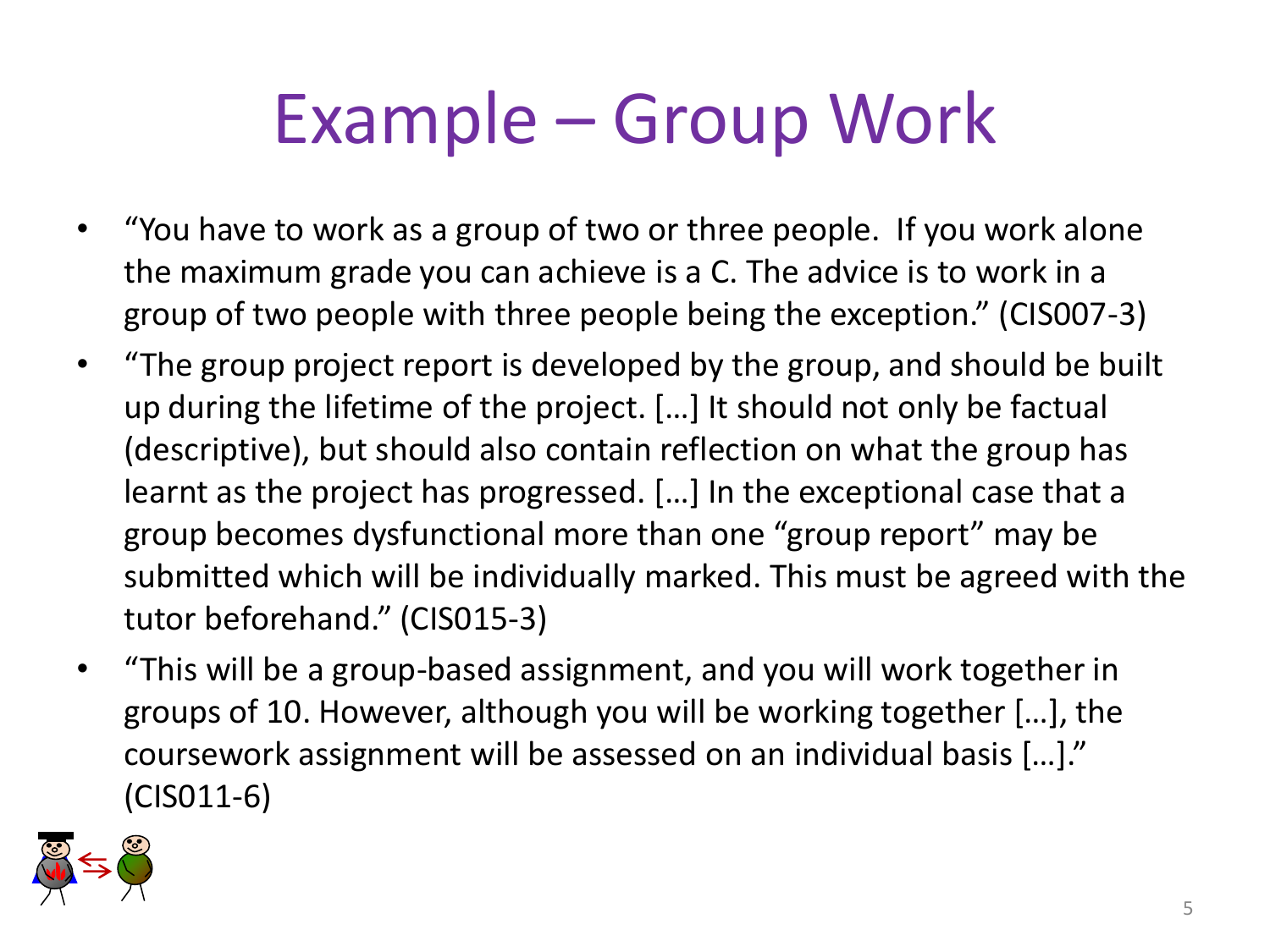## Example – Group Work

- "You have to work as a group of two or three people. If you work alone the maximum grade you can achieve is a C. The advice is to work in a group of two people with three people being the exception." (CIS007-3)
- "The group project report is developed by the group, and should be built up during the lifetime of the project. […] It should not only be factual (descriptive), but should also contain reflection on what the group has learnt as the project has progressed. […] In the exceptional case that a group becomes dysfunctional more than one "group report" may be submitted which will be individually marked. This must be agreed with the tutor beforehand." (CIS015-3)
- "This will be a group-based assignment, and you will work together in groups of 10. However, although you will be working together […], the coursework assignment will be assessed on an individual basis […]." (CIS011-6)

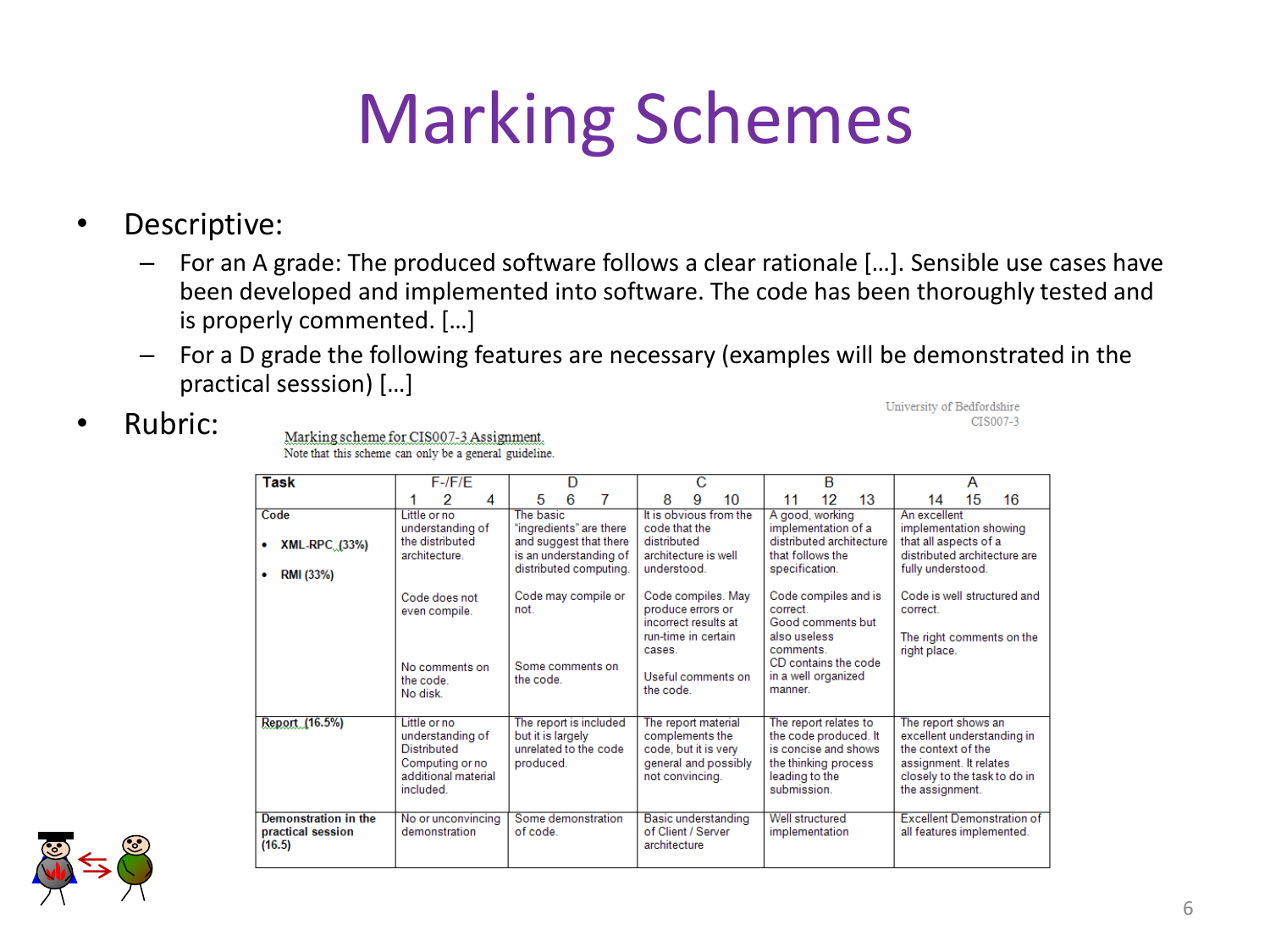# Marking Schemes

#### • Descriptive:

– For an A grade: The produced software follows a clear rationale […]. Sensible use cases have been developed and implemented into software. The code has been thoroughly tested and is properly commented. […]

University of Bedfordshire

CIS007-3

– For a D grade the following features are necessary (examples will be demonstrated in the practical sesssion) […]

#### Rubric:

Marking scheme for CIS007-3 Assignment. Note that this scheme can only be a general guideline.

| lask                                                | F-/F/E                                                                                                        |                                                                                                                    |                                                                                                                                     | ь                                                                                                                                          | $\mathsf{A}$                                                                                                                                         |
|-----------------------------------------------------|---------------------------------------------------------------------------------------------------------------|--------------------------------------------------------------------------------------------------------------------|-------------------------------------------------------------------------------------------------------------------------------------|--------------------------------------------------------------------------------------------------------------------------------------------|------------------------------------------------------------------------------------------------------------------------------------------------------|
|                                                     | 2<br>4                                                                                                        | 5<br>6<br>7                                                                                                        | 8<br>9<br>10                                                                                                                        | 13<br>12<br>11                                                                                                                             | 15<br>16<br>14                                                                                                                                       |
| Code<br><b>XML-RPC (33%)</b>                        | Little or no<br>understanding of<br>the distributed<br>architecture.                                          | The basic<br>"ingredients" are there<br>and suggest that there<br>is an understanding of<br>distributed computing. | It is obvious from the<br>code that the<br>distributed<br>architecture is well<br>understood.                                       | A good, working<br>implementation of a<br>distributed architecture<br>that follows the<br>specification.                                   | An excellent<br>implementation showing<br>that all aspects of a<br>distributed architecture are<br>fully understood.                                 |
| RMI (33%)                                           | Code does not<br>even compile.<br>No comments on<br>the code.<br>No disk.                                     | Code may compile or<br>not.<br>Some comments on<br>the code.                                                       | Code compiles. May<br>produce errors or<br>incorrect results at<br>run-time in certain<br>cases.<br>Useful comments on<br>the code. | Code compiles and is<br>correct<br>Good comments but<br>also useless<br>comments<br>CD contains the code<br>in a well organized<br>manner. | Code is well structured and<br>correct.<br>The right comments on the<br>right place.                                                                 |
| Report (16.5%)                                      | Little or no<br>understanding of<br><b>Distributed</b><br>Computing or no<br>additional material<br>included. | The report is included<br>but it is largely<br>unrelated to the code<br>produced.                                  | The report material<br>complements the<br>code, but it is very<br>general and possibly<br>not convincing.                           | The report relates to<br>the code produced. It<br>is concise and shows<br>the thinking process<br>leading to the<br>submission.            | The report shows an<br>excellent understanding in<br>the context of the<br>assignment. It relates<br>closely to the task to do in<br>the assignment. |
| Demonstration in the<br>practical session<br>(16.5) | No or unconvincing<br>demonstration                                                                           | Some demonstration<br>of code.                                                                                     | Basic understanding<br>of Client / Server<br>architecture                                                                           | Well structured<br>implementation                                                                                                          | <b>Excellent Demonstration of</b><br>all features implemented.                                                                                       |

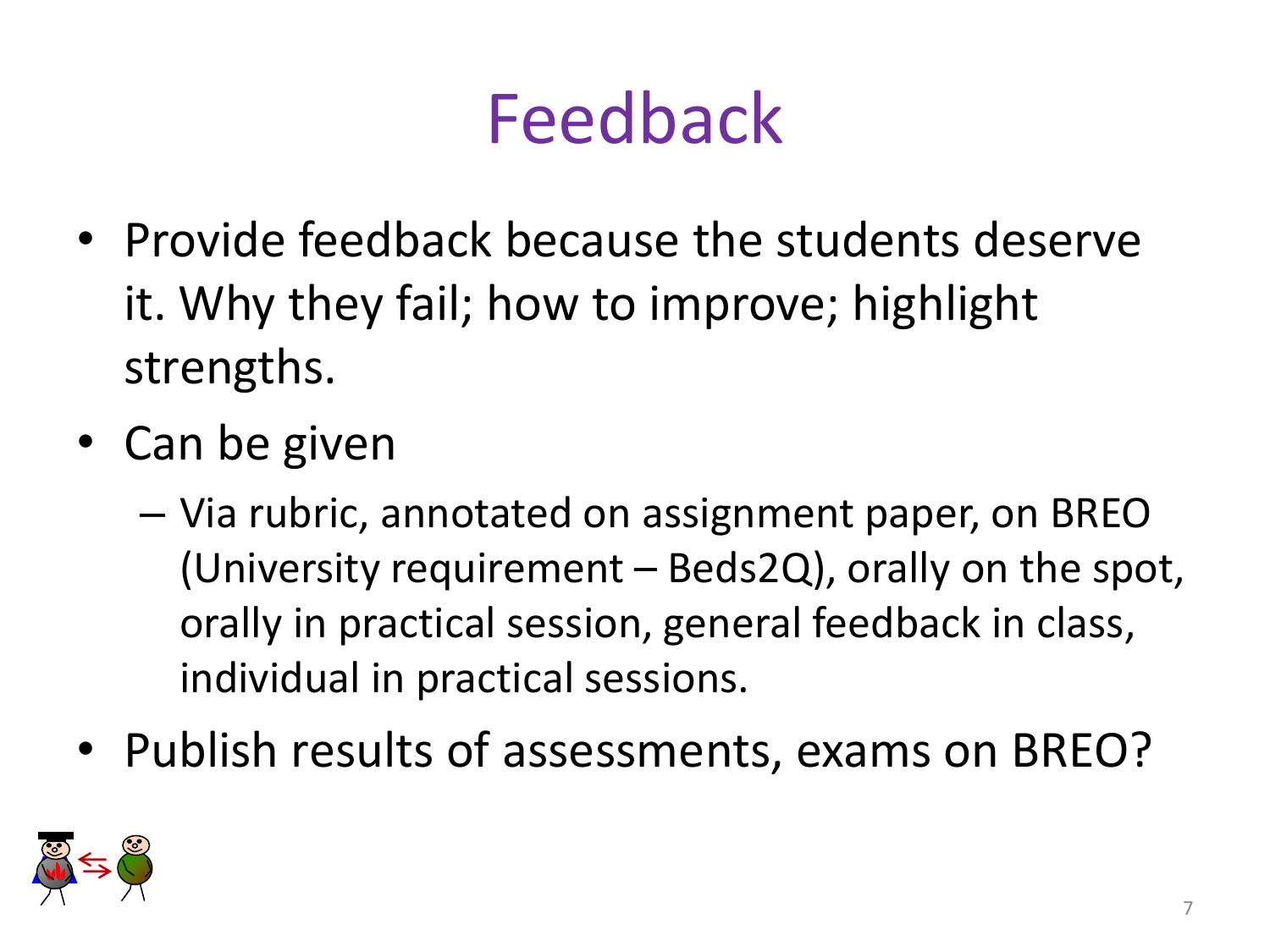# Feedback

- Provide feedback because the students deserve it. Why they fail; how to improve; highlight strengths.
- Can be given
	- Via rubric, annotated on assignment paper, on BREO (University requirement – Beds2Q), orally on the spot, orally in practical session, general feedback in class, individual in practical sessions.
- Publish results of assessments, exams on BREO?

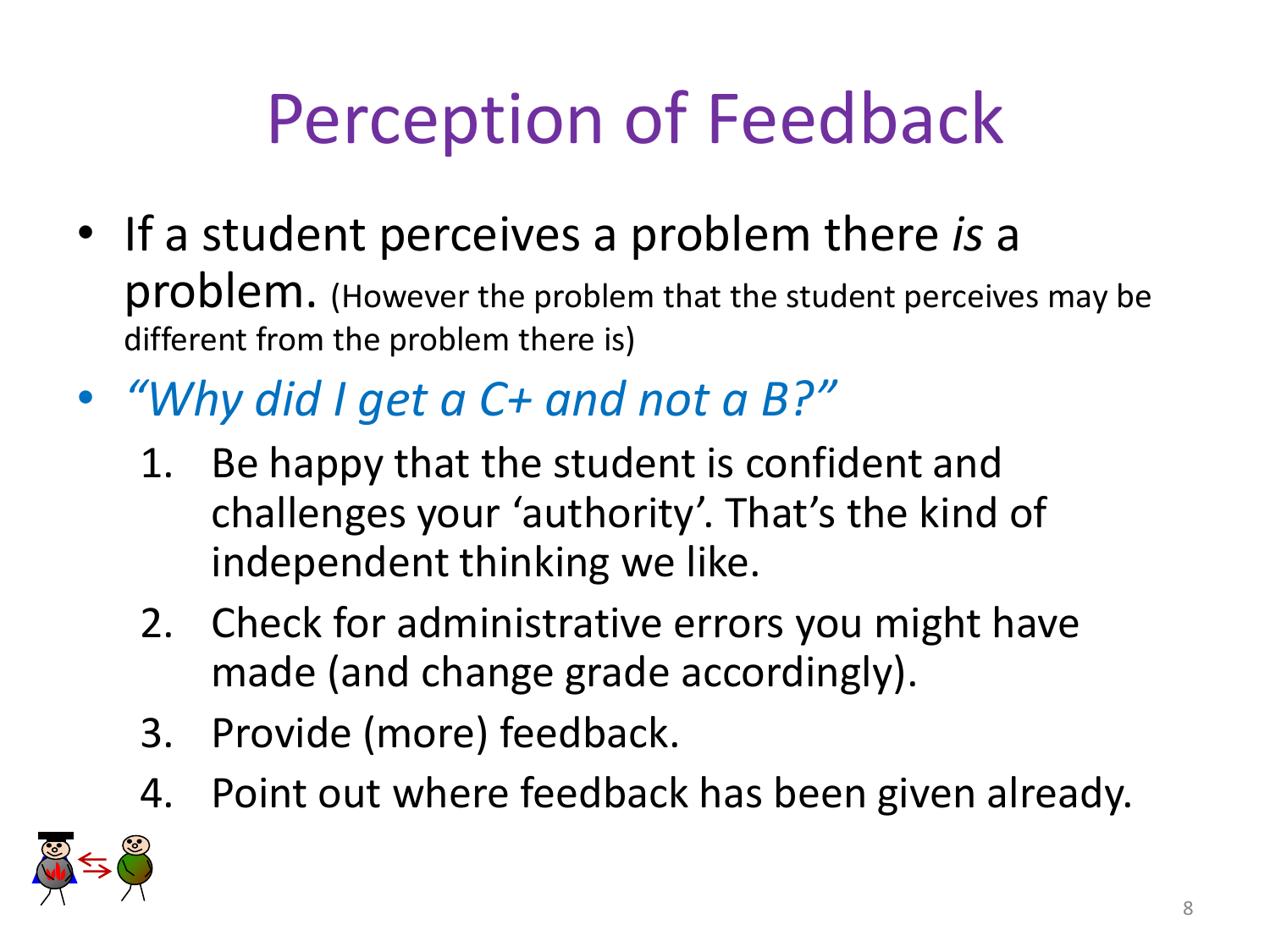# Perception of Feedback

- If a student perceives a problem there *is* a problem. (However the problem that the student perceives may be different from the problem there is)
- *"Why did I get a C+ and not a B?"*
	- 1. Be happy that the student is confident and challenges your 'authority'. That's the kind of independent thinking we like.
	- 2. Check for administrative errors you might have made (and change grade accordingly).
	- 3. Provide (more) feedback.
	- 4. Point out where feedback has been given already.